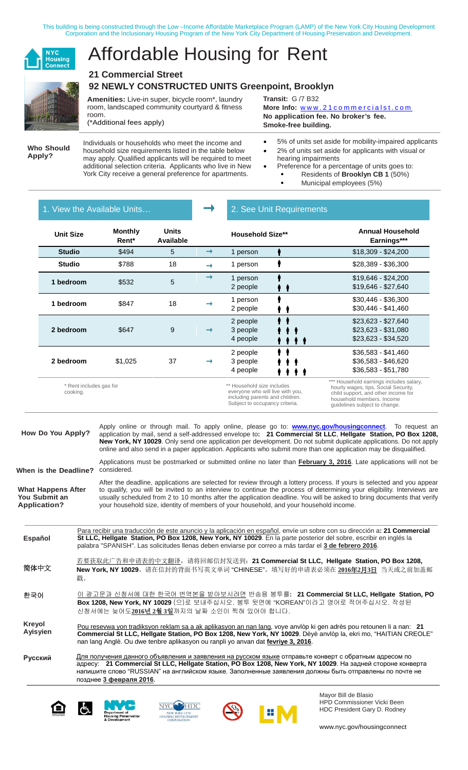This building is being constructed through the Low –Income Affordable Marketplace Program (LAMP) of the New York City Housing Development Corporation and the Inclusionary Housing Program of the New York City Department of Housing Preservation and Development.



# Affordable Housing for Rent

### **21 Commercial Street 92 NEWLY CONSTRUCTED UNITS Greenpoint, Brooklyn**

**Amenities:** Live-in super, bicycle room\*, laundry room, landscaped community courtyard & fitness room.

(\*Additional fees apply)

**Transit:** G /7 B32 **More Info:** [www.21commercialst.com](http://www.21commercialst.com/) **No application fee. No broker's fee.**

**Smoke-free building.**

**Who Should Apply?**

Individuals or households who meet the income and household size requirements listed in the table below may apply. Qualified applicants will be required to meet additional selection criteria. Applicants who live in New York City receive a general preference for apartments.

• 5% of units set aside for mobility-impaired applicants

- 2% of units set aside for applicants with visual or hearing impairments
- Preference for a percentage of units goes to: Residents of **Brooklyn CB 1** (50%)
	- Municipal employees (5%)

|  |  | . View the Available Units. |
|--|--|-----------------------------|
|  |  |                             |
|  |  |                             |

### 2. See Unit Requirements

| <b>Unit Size</b>                    | <b>Monthly</b><br>Rent* | <b>Units</b><br>Available |               | <b>Household Size**</b>                                                                                                             | <b>Annual Household</b><br>Earnings***                                                                                                                                               |  |
|-------------------------------------|-------------------------|---------------------------|---------------|-------------------------------------------------------------------------------------------------------------------------------------|--------------------------------------------------------------------------------------------------------------------------------------------------------------------------------------|--|
| <b>Studio</b>                       | \$494                   | 5                         | $\rightarrow$ | 1 person                                                                                                                            | $$18,309 - $24,200$                                                                                                                                                                  |  |
| <b>Studio</b>                       | \$788                   | 18                        |               | 1 person                                                                                                                            | \$28,389 - \$36,300                                                                                                                                                                  |  |
| 1 bedroom                           | \$532                   | 5                         | →             | 1 person<br>2 people<br>41                                                                                                          | $$19,646 - $24,200$<br>$$19,646 - $27,640$                                                                                                                                           |  |
| 1 bedroom                           | \$847                   | 18                        |               | 1 person<br>2 people                                                                                                                | $$30,446 - $36,300$<br>$$30,446 - $41,460$                                                                                                                                           |  |
| 2 bedroom                           | \$647                   | 9                         | $\rightarrow$ | 2 people<br>3 people<br>4 people<br>. .                                                                                             | $$23,623 - $27,640$<br>$$23,623 - $31,080$<br>$$23,623 - $34,520$                                                                                                                    |  |
| 2 bedroom                           | \$1,025                 | 37                        |               | 2 people<br>3 people<br>4 people                                                                                                    | $$36,583 - $41,460$<br>$$36,583 - $46,620$<br>$$36,583 - $51,780$                                                                                                                    |  |
| * Rent includes gas for<br>cooking. |                         |                           |               | ** Household size includes<br>everyone who will live with you,<br>including parents and children.<br>Subject to occupancy criteria. | *** Household earnings includes salary,<br>hourly wages, tips, Social Security,<br>child support, and other income for<br>household members. Income<br>quidelines subject to change. |  |

**How Do You Apply?** Apply online or through mail. To apply online, please go to: **www.nyc.gov/housingconnect**. To request an application by mail, send a self-addressed envelope to**: 21 Commercial St LLC**, **Hellgate Station, PO Box 1208, New York, NY 10029**. Only send one application per development. Do not submit duplicate applications. Do not apply online and also send in a paper application. Applicants who submit more than one application may be disqualified.

**When is the Deadline?** Applications must be postmarked or submitted online no later than **February 3, 2016**. Late applications will not be considered.

**What Happens After You Submit an Application?** After the deadline, applications are selected for review through a lottery process. If yours is selected and you appear to qualify, you will be invited to an interview to continue the process of determining your eligibility. Interviews are usually scheduled from 2 to 10 months after the application deadline. You will be asked to bring documents that verify your household size, identity of members of your household, and your household income.

Para recibir una traducción de este anuncio y la aplicación en español, envíe un sobre con su dirección a**: 21 Commercial St LLC, Hellgate Station, PO Box 1208, New York, NY 10029**. En la parte posterior del sobre, escribir en inglés la palabra "SPANISH". Las solicitudes llenas deben enviarse por correo a más tardar el **3 de febrero 2016**. 若要获取此广告和申请表的中文翻译,请将回邮信封发送到:**21 Commercial St LLC, Hellgate Station, PO Box 1208, New York, NY 10029**。请在信封的背面书写英文单词 "CHINESE"。填写好的申请表必须在 **2016**年**2**月**3**日 当天或之前加盖邮 戳。 이 광고문과 신청서에 대한 한국어 번역본을 받아보시려면 반송용 봉투를**: 21 Commercial St LLC, Hellgate Station, PO Box 1208, New York, NY 10029** (으)로 보내주십시오. 봉투 뒷면에 "KOREAN"이라고 영어로 적어주십시오. 작성된 신청서에는 늦어도**2016**년 **2**월 **3**일까지의 날짜 소인이 찍혀 있어야 합니다. Pou resevwa yon tradiksyon reklam sa a ak aplikasyon an nan lang, voye anvlòp ki gen adrès pou retounen li a nan: **21 Commercial St LLC, Hellgate Station, PO Box 1208, New York, NY 10029**. Dèyè anvlòp la, ekri mo, "HAITIAN CREOLE" nan lang Anglè. Ou dwe tenbre aplikasyon ou ranpli yo anvan dat **fevriye 3, 2016**. Для получения данного объявления и заявления на русском языке отправьте конверт с обратным адресом по адресу: **21 Commercial St LLC, Hellgate Station, PO Box 1208, New York, NY 10029**. На задней стороне конверта напишите слово "RUSSIAN" на английском языке. Заполненные заявления должны быть отправлены по почте не позднее **3 февраля 2016**. **Español** 简体中文 한국어 **Kreyol Ayisyien Русский**









Mayor Bill de Blasio HPD Commissioner Vicki Been HDC President Gary D. Rodney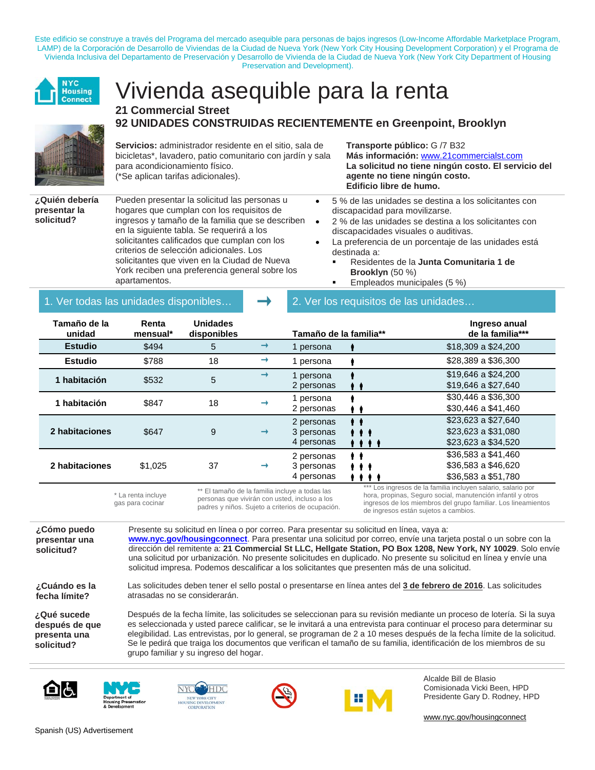Este edificio se construye a través del Programa del mercado asequible para personas de bajos ingresos (Low-Income Affordable Marketplace Program, LAMP) de la Corporación de Desarrollo de Viviendas de la Ciudad de Nueva York (New York City Housing Development Corporation) y el Programa de Vivienda Inclusiva del Departamento de Preservación y Desarrollo de Vivienda de la Ciudad de Nueva York (New York City Department of Housing Preservation and Development).



## Vivienda asequible para la renta **21 Commercial Street 92 UNIDADES CONSTRUIDAS RECIENTEMENTE en Greenpoint, Brooklyn**



### **Servicios:** administrador residente en el sitio, sala de bicicletas\*, lavadero, patio comunitario con jardín y sala para acondicionamiento físico. (\*Se aplican tarifas adicionales).

**¿Quién debería presentar la solicitud?**

Pueden presentar la solicitud las personas u hogares que cumplan con los requisitos de ingresos y tamaño de la familia que se describen en la siguiente tabla. Se requerirá a los solicitantes calificados que cumplan con los criterios de selección adicionales. Los solicitantes que viven en la Ciudad de Nueva York reciben una preferencia general sobre los apartamentos.

**Transporte público:** G /7 B32 **Más información:** [www.21commercialst.com](http://www.21commercialst.com/) **La solicitud no tiene ningún costo. El servicio del agente no tiene ningún costo. Edificio libre de humo.**

- 5 % de las unidades se destina a los solicitantes con discapacidad para movilizarse.
- 2 % de las unidades se destina a los solicitantes con discapacidades visuales o auditivas.
- La preferencia de un porcentaje de las unidades está destinada a:
	- Residentes de la **Junta Comunitaria 1 de Brooklyn** (50 %)
	- Empleados municipales (5 %)

### 1. Ver todas las unidades disponibles…  $\Box$  2. Ver los requisitos de las unidades.

| Tamaño de la<br>unidad | Renta<br>mensual* | <b>Unidades</b><br>disponibles |               | Tamaño de la familia**                 |                                      | Ingreso anual<br>de la familia***                                 |
|------------------------|-------------------|--------------------------------|---------------|----------------------------------------|--------------------------------------|-------------------------------------------------------------------|
| <b>Estudio</b>         | \$494             | 5                              | →             | 1 persona                              |                                      | \$18,309 a \$24,200                                               |
| <b>Estudio</b>         | \$788             | 18                             | $\rightarrow$ | 1 persona                              |                                      | \$28,389 a \$36,300                                               |
| 1 habitación           | \$532             | 5                              | $\rightarrow$ | 1 persona<br>2 personas                |                                      | \$19,646 a \$24,200<br>\$19,646 a \$27,640                        |
| 1 habitación           | \$847             | 18                             | →             | 1 persona<br>2 personas                | , ,                                  | \$30,446 a \$36,300<br>\$30,446 a \$41,460                        |
| 2 habitaciones         | \$647             | 9                              | $\rightarrow$ | 2 personas<br>3 personas<br>4 personas | $\cdots$<br>.                        | \$23,623 a \$27,640<br>\$23,623 a \$31,080<br>\$23,623 a \$34,520 |
| 2 habitaciones         | \$1,025           | 37                             | $\rightarrow$ | 2 personas<br>3 personas<br>4 personas | $\cdots$<br>.<br>$\bullet$ $\bullet$ | \$36,583 a \$41,460<br>\$36,583 a \$46,620<br>\$36,583 a \$51,780 |
|                        |                   |                                |               |                                        |                                      | $***$ Les insteads de la familie insluten aalatie, aalatie par    |

\* La renta incluye gas para cocinar

\*\* El tamaño de la familia incluye a todas las personas que vivirán con usted, incluso a los padres y niños. Sujeto a criterios de ocupación.

Los ingresos de la familia incluyen salario, salario por hora, propinas, Seguro social, manutención infantil y otros ingresos de los miembros del grupo familiar. Los lineamientos de ingresos están sujetos a cambios.

**¿Cómo puedo presentar una solicitud?**

Presente su solicitud en línea o por correo. [Para presentar su solicitud en línea, vaya a:](https://a806-housingconnect.nyc.gov/nyclottery/lottery.html%23home)  **[www.nyc.gov/housingconnect](https://a806-housingconnect.nyc.gov/nyclottery/lottery.html%23home)**. Para presentar una solicitud por correo, envíe una tarjeta postal o un sobre con la dirección del remitente a: **21 Commercial St LLC, Hellgate Station, PO Box 1208, New York, NY 10029**. Solo envíe una solicitud por urbanización. No presente solicitudes en duplicado. No presente su solicitud en línea y envíe una solicitud impresa. Podemos descalificar a los solicitantes que presenten más de una solicitud.

Las solicitudes deben tener el sello postal o presentarse en línea antes del **3 de febrero de 2016**. Las solicitudes

Después de la fecha límite, las solicitudes se seleccionan para su revisión mediante un proceso de lotería. Si la suya es seleccionada y usted parece calificar, se le invitará a una entrevista para continuar el proceso para determinar su elegibilidad. Las entrevistas, por lo general, se programan de 2 a 10 meses después de la fecha límite de la solicitud. Se le pedirá que traiga los documentos que verifican el tamaño de su familia, identificación de los miembros de su

**¿Cuándo es la fecha límite?**

**¿Qué sucede después de que presenta una solicitud?**





atrasadas no se considerarán.

grupo familiar y su ingreso del hogar.





Alcalde Bill de Blasio Comisionada Vicki Been, HPD Presidente Gary D. Rodney, HPD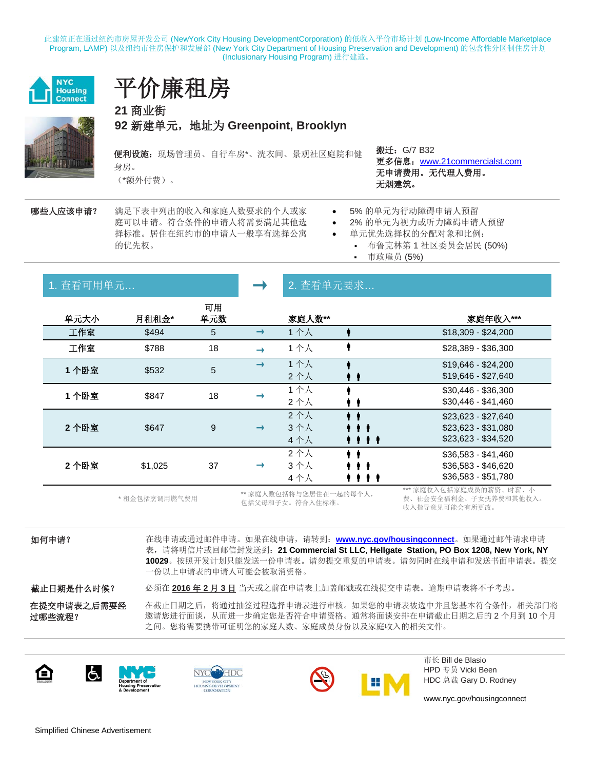此建筑正在通过纽约市房屋开发公司 (NewYork City Housing DevelopmentCorporation) 的低收入平价市场计划 (Low-Income Affordable Marketplace Program, LAMP) 以及纽约市住房保护和发展部 (New York City Department of Housing Preservation and Development) 的包含性分区制住房计划 (Inclusionary Housing Program) 进行建造。



## 平价廉租房

**21** 商业街 **92** 新建单元,地址为 **Greenpoint, Brooklyn**

便利设施:现场管理员、自行车房\*、洗衣间、景观社区庭院和健 身房。

(\*额外付费)。

搬迁:G/7 B32 更多信息:[www.21commercialst.com](http://www.21commercialst.com/) 无申请费用。无代理人费用。 无烟建筑。

哪些人应该申请? 满足下表中列出的收入和家庭人数要求的个人或家 庭可以申请。符合条件的申请人将需要满足其他选 择标准。居住在纽约市的申请人一般享有选择公寓 的优先权。

- 5% 的单元为行动障碍申请人预留
- 2% 的单元为视力或听力障碍申请人预留
- 单元优先选择权的分配对象和比例:
	- 布鲁克林第 1 社区委员会居民 (50%)
	- 市政雇员 (5%)

| 1. 查看可用单元 |               |           |               | 2. 查看单元要求                                 |                           |                                                                   |  |
|-----------|---------------|-----------|---------------|-------------------------------------------|---------------------------|-------------------------------------------------------------------|--|
| 单元大小      | 月租租金*         | 可用<br>单元数 |               | 家庭人数**                                    |                           | 家庭年收入***                                                          |  |
| 工作室       | \$494         | 5         | $\rightarrow$ | 1个人                                       |                           | \$18,309 - \$24,200                                               |  |
| 工作室       | \$788         | 18        | $\rightarrow$ | 1个人                                       |                           | \$28,389 - \$36,300                                               |  |
| 1个卧室      | \$532         | 5         | $\rightarrow$ | 1个人<br>2个人                                | ' '                       | \$19,646 - \$24,200<br>\$19,646 - \$27,640                        |  |
| 1 个卧室     | \$847         | 18        | →             | 1个人<br>2个人                                |                           | $$30,446 - $36,300$<br>$$30,446 - $41,460$                        |  |
| 2个卧室      | \$647         | 9         | $\rightarrow$ | 2个人<br>3个人<br>4个人                         | $\cdots$<br>$\cdots$<br>. | $$23,623 - $27,640$<br>\$23,623 - \$31,080<br>$$23,623 - $34,520$ |  |
| 2个卧室      | \$1,025       | 37        | $\rightarrow$ | 2个人<br>3个人<br>4个人                         | $\cdots$<br>.<br>.        | $$36,583 - $41,460$<br>\$36,583 - \$46,620<br>\$36,583 - \$51,780 |  |
|           | * 租金包括烹调用燃气费用 |           |               | ** 家庭人数包括将与您居住在一起的每个人,<br>包括父母和子女。符合入住标准。 |                           | *** 家庭收入包括家庭成员的薪资、时薪、小<br>费、社会安全福利金、子女抚养费和其他收入。<br>收入指导意见可能会有所更改。 |  |

如何申请? 在线申请或通过邮件申请。如果在线申请,请转到:**[www.nyc.gov/housingconnect](https://a806-housingconnect.nyc.gov/nyclottery/lottery.html%23%E5%AE%B6%E5%BA%AD)**。如果通过邮件请求申请 表,请将明信片或回邮信封发送到:**21 Commercial St LLC**, **Hellgate Station, PO Box 1208, New York, NY 10029**。按照开发计划只能发送一份申请表。请勿提交重复的申请表。请勿同时在线申请和发送书面申请表。提交 一份以上申请表的申请人可能会被取消资格。 截止日期是什么时候? 必须在 **2016** 年 **2** 月 **3** 日 当天或之前在申请表上加盖邮戳或在线提交申请表。逾期申请表将不予考虑。 在提交申请表之后需要经

在截止日期之后,将通过抽签过程选择申请表进行审核。如果您的申请表被选中并且您基本符合条件,相关部门将 邀请您进行面谈,从而进一步确定您是否符合申请资格。通常将面谈安排在申请截止日期之后的 2 个月到 10 个月 之间。您将需要携带可证明您的家庭人数、家庭成员身份以及家庭收入的相关文件。



过哪些流程?







市长 Bill de Blasio HPD 专员 Vicki Been HDC 总裁 Gary D. Rodney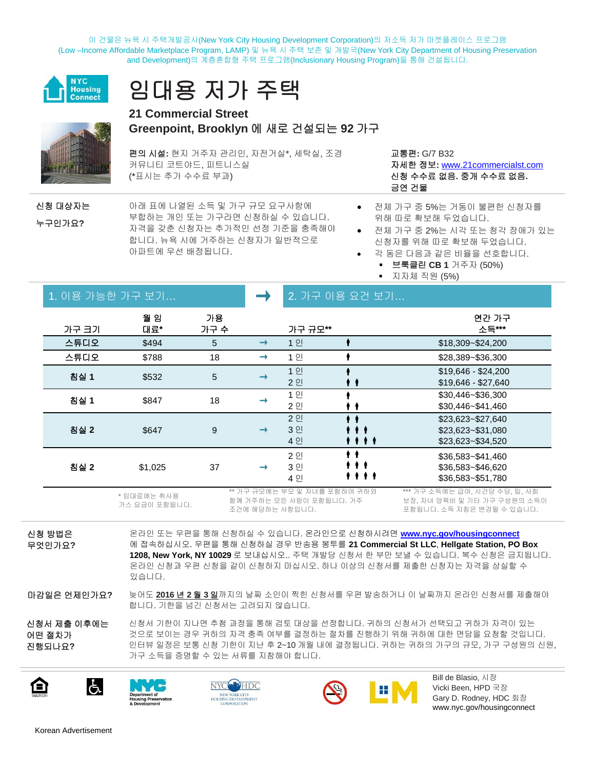이 건물은 뉴욕 시 주택개발공사(New York City Housing Development Corporation)의 저소득 저가 마켓플레이스 프로그램 (Low –Income Affordable Marketplace Program, LAMP) 및 뉴욕 시 주택 보존 및 개발국(New York City Department of Housing Preservation and Development)의 계층혼합형 주택 프로그램(Inclusionary Housing Program)을 통해 건설됩니다.







### **21 Commercial Street Greenpoint, Brooklyn** 에 새로 건설되는 **92** 가구

편의 시설**:** 현지 거주자 관리인, 자전거실\*, 세탁실, 조경 커뮤니티 코트야드, 피트니스실 (\*표시는 추가 수수료 부과)

교통편**:** G/7 B32 자세한 정보**:** [www.21commercialst.com](http://www.21commercialst.com/) 신청 수수료 없음**.** 중개 수수료 없음**.** 금연 건물

• 전체 가구 중 5%는 거동이 불편한 신청자를

• 전체 가구 중 2%는 시각 또는 청각 장애가 있는 신청자를 위해 따로 확보해 두었습니다. • 각 동은 다음과 같은 비율을 선호합니다. 브룩클린 **CB 1** 거주자 (50%)

위해 따로 확보해 두었습니다.

지자체 직원 (5%)

신청 대상자는 누구인가요**?**

아래 표에 나열된 소득 및 가구 규모 요구사항에 부합하는 개인 또는 가구라면 신청하실 수 있습니다. 자격을 갖춘 신청자는 추가적인 선정 기준을 충족해야 합니다. 뉴욕 시에 거주하는 신청자가 일반적으로 아파트에 우선 배정됩니다.

| 1. 이용 가능한 가구 보기 |            |            |               |                      | 2. 가구 이용 요건 보기                      |                                                             |  |
|-----------------|------------|------------|---------------|----------------------|-------------------------------------|-------------------------------------------------------------|--|
| 가구 크기           | 월 임<br>대료* | 가용<br>가구 수 |               | 가구 규모**              |                                     | 연간 가구<br>소득***                                              |  |
| 스튜디오            | \$494      | 5          | $\rightarrow$ | 1 인                  |                                     | \$18,309~\$24,200                                           |  |
| 스튜디오            | \$788      | 18         | $\rightarrow$ | 1 인                  |                                     | \$28,389~\$36,300                                           |  |
| 침실 1            | \$532      | 5          | ⊣             | 1 인<br>2 인           |                                     | $$19,646 - $24,200$<br>$$19,646 - $27,640$                  |  |
| 침실 1            | \$847      | 18         |               | 1 인<br>2 인           |                                     | \$30,446~\$36,300<br>\$30,446~\$41,460                      |  |
| 침실 2            | \$647      | 9          | $\rightarrow$ | 2 인<br>3 인<br>4 인    | $\bullet$ (<br>$\mathbf{H}$<br>,,,, | \$23,623~\$27,640<br>\$23,623~\$31,080<br>\$23,623~\$34,520 |  |
| 침실 2            | \$1,025    | 37         | $\rightarrow$ | 2 인<br>3 인<br>$A$ OI | $\cdots$<br>-1<br>. .<br>,,,,       | \$36,583~\$41,460<br>\$36,583~\$46,620<br>\$3652251780      |  |

\* 임대료에는 취사용 가스 요금이 포함됩니다. 가구 규모에는 부모 및 자녀를 포함하여 귀하와 함께 거주하는 모든 사람이 포함됩니다. 거주 조건에 해당하는 사항입니다. \*\*\* 가구 소득에는 급여, 시간당 수당, 팁, 사회 보장, 자녀 양육비 및 기타 가구 구성원의 소득이 포함됩니다. 소득 지침은 변경될 수 있습니다.

신청 방법은 무엇인가요**?**

온라인 또는 우편을 통해 신청하실 수 있습니다. 온라인으로 신청하시려면 **www.nyc.gov/housingconnect** 에 접속하십시오. 우편을 통해 신청하실 경우 반송용 봉투를 **21 Commercial St LLC**, **Hellgate Station, PO Box 1208, New York, NY 10029** 로 보내십시오.. 주택 개발당 신청서 한 부만 보낼 수 있습니다. 복수 신청은 금지됩니다. 온라인 신청과 우편 신청을 같이 신청하지 마십시오. 하나 이상의 신청서를 제출한 신청자는 자격을 상실할 수 있습니다.

마감일은 언제인가요**?** 늦어도 **2016** 년 **2** 월 **3** 일까지의 날짜 소인이 찍힌 신청서를 우편 발송하거나 이 날짜까지 온라인 신청서를 제출해야 합니다. 기한을 넘긴 신청서는 고려되지 않습니다.

4 인

신청서 제출 이후에는 어떤 절차가 진행되나요**?** 신청서 기한이 지나면 추첨 과정을 통해 검토 대상을 선정합니다. 귀하의 신청서가 선택되고 귀하가 자격이 있는 것으로 보이는 경우 귀하의 자격 충족 여부를 결정하는 절차를 진행하기 위해 귀하에 대한 면담을 요청할 것입니다. 인터뷰 일정은 보통 신청 기한이 지난 후 2~10 개월 내에 결정됩니다. 귀하는 귀하의 가구의 규모, 가구 구성원의 신원, 가구 소득을 증명할 수 있는 서류를 지참해야 합니다.











Bill de Blasio, 시장 Vicki Been, HPD 국장 Gary D. Rodney, HDC 회장 [www.nyc.gov/housingconnect](http://www.nyc.gov/housingconnect)

\$36,583~\$51,780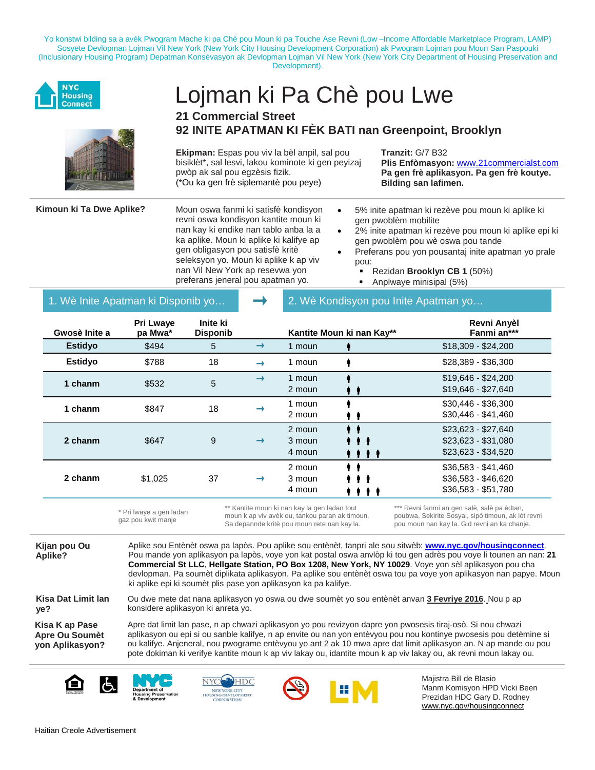Yo konstwi bilding sa a avèk Pwogram Mache ki pa Chè pou Moun ki pa Touche Ase Revni (Low –Income Affordable Marketplace Program, LAMP) Sosyete Devlopman Lojman Vil New York (New York City Housing Development Corporation) ak Pwogram Lojman pou Moun San Paspouki (Inclusionary Housing Program) Depatman Konsèvasyon ak Devlopman Lojman Vil New York (New York City Department of Housing Preservation and Development).



# Lojman ki Pa Chè pou Lwe

### **21 Commercial Street 92 INITE APATMAN KI FÈK BATI nan Greenpoint, Brooklyn**

**Ekipman:** Espas pou viv la bèl anpil, sal pou bisiklèt\*, sal lesvi, lakou kominote ki gen peyizaj pwòp ak sal pou egzèsis fizik. (\*Ou ka gen frè siplemantè pou peye)

**Tranzit:** G/7 B32

**Plis Enfòmasyon:** [www.21commercialst.com](http://www.21commercialst.com/) **Pa gen frè aplikasyon. Pa gen frè koutye. Bilding san lafimen.**

Kimoun ki Ta Dwe Aplike? Moun oswa fanmi ki satisfè kondisyon revni oswa kondisyon kantite moun ki nan kay ki endike nan tablo anba la a ka aplike. Moun ki aplike ki kalifye ap gen obligasyon pou satisfè kritè seleksyon yo. Moun ki aplike k ap viv nan Vil New York ap resevwa yon preferans jeneral pou apatman yo.

- 5% inite apatman ki rezève pou moun ki aplike ki gen pwoblèm mobilite
- 2% inite apatman ki rezève pou moun ki aplike epi ki gen pwoblèm pou wè oswa pou tande
- Preferans pou yon pousantaj inite apatman yo prale pou:
	- Rezidan **Brooklyn CB 1** (50%)
	- Anplwaye minisipal (5%)

1. Wè Inite Apatman ki Disponib yo…  $\Box$  2. Wè Kondisyon pou Inite Apatman yo…

| Gwosè Inite a  | Pri Lwaye<br>pa Mwa* | Inite ki<br><b>Disponib</b> |               |                            | Kantite Moun ki nan Kay**   | Revni Anyèl<br>Fanmi an***                                        |
|----------------|----------------------|-----------------------------|---------------|----------------------------|-----------------------------|-------------------------------------------------------------------|
| <b>Estidyo</b> | \$494                | 5                           | $\rightarrow$ | 1 moun                     |                             | $$18,309 - $24,200$                                               |
| <b>Estidyo</b> | \$788                | 18                          | →             | 1 moun                     |                             | \$28,389 - \$36,300                                               |
| 1 chanm        | \$532                | 5                           | $\rightarrow$ | 1 moun<br>2 moun           |                             | $$19,646 - $24,200$<br>$$19,646 - $27,640$                        |
| 1 chanm        | \$847                | 18                          |               | 1 moun<br>2 moun           |                             | $$30,446 - $36,300$<br>$$30,446 - $41,460$                        |
| 2 chanm        | \$647                | 9                           | $\rightarrow$ | 2 moun<br>3 moun<br>4 moun | .<br>.                      | $$23,623 - $27,640$<br>$$23,623 - $31,080$<br>$$23,623 - $34,520$ |
| 2 chanm        | \$1,025              | 37                          | $\rightarrow$ | 2 moun<br>3 moun<br>4 moun | $\blacksquare$<br>.<br>,,,, | $$36,583 - $41,460$<br>\$36,583 - \$46,620<br>$$36,583 - $51,780$ |

\* Pri lwaye a gen ladan gaz pou kwit manje Kantite moun ki nan kay la gen ladan tout moun k ap viv avèk ou, tankou paran ak timoun. Sa depannde kritè pou moun rete nan kay la. Revni fanmi an gen salè, salè pa èdtan, poubwa, Sekirite Sosyal, sipò timoun, ak lòt revni pou moun nan kay la. Gid revni an ka chanje.

**Kijan pou Ou Aplike?**

Aplike sou Entènèt oswa pa lapòs. Pou aplike sou entènèt, tanpri ale sou sitwèb: **[www.nyc.gov/housingconnect](https://a806-housingconnect.nyc.gov/nyclottery/lottery.html%23home)**. Pou mande yon aplikasyon pa lapòs, voye yon kat postal oswa anvlòp ki tou gen adrès pou voye li tounen an nan: **21 Commercial St LLC**, **Hellgate Station, PO Box 1208, New York, NY 10029**. Voye yon sèl aplikasyon pou cha devlopman. Pa soumèt diplikata aplikasyon. Pa aplike sou entènèt oswa tou pa voye yon aplikasyon nan papye. Moun ki aplike epi ki soumèt plis pase yon aplikasyon ka pa kalifye.

Ou dwe mete dat nana aplikasyon yo oswa ou dwe soumèt yo sou entènèt anvan **3 Fevriye 2016**. Nou p ap

Apre dat limit lan pase, n ap chwazi aplikasyon yo pou revizyon dapre yon pwosesis tiraj-osò. Si nou chwazi aplikasyon ou epi si ou sanble kalifye, n ap envite ou nan yon entèvyou pou nou kontinye pwosesis pou detèmine si ou kalifye. Anjeneral, nou pwograme entèvyou yo ant 2 ak 10 mwa apre dat limit aplikasyon an. N ap mande ou pou pote dokiman ki verifye kantite moun k ap viv lakay ou, idantite moun k ap viv lakay ou, ak revni moun lakay ou.

**Kisa Dat Limit lan ye?**

**Kisa K ap Pase Apre Ou Soumèt yon Aplikasyon?**





konsidere aplikasyon ki anreta yo.





Majistra Bill de Blasio Manm Komisyon HPD Vicki Been Prezidan HDC Gary D. Rodney [www.nyc.gov/housingconnect](http://www.nyc.gov/housingconnect)